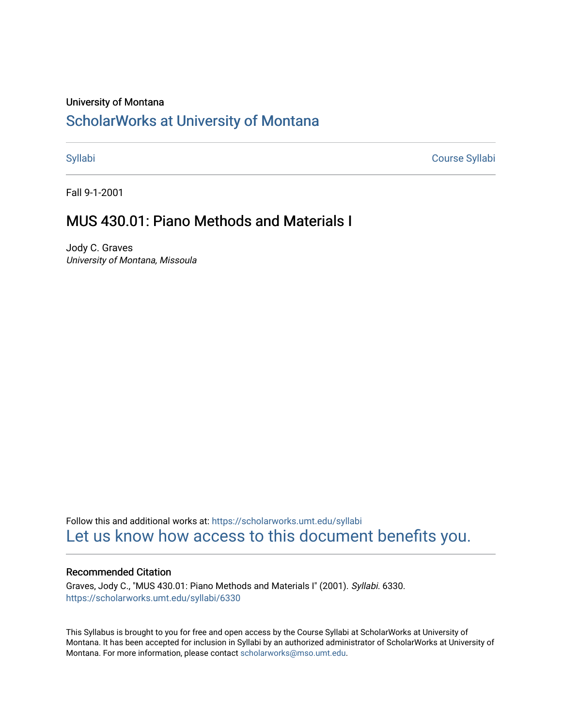#### University of Montana

# [ScholarWorks at University of Montana](https://scholarworks.umt.edu/)

[Syllabi](https://scholarworks.umt.edu/syllabi) [Course Syllabi](https://scholarworks.umt.edu/course_syllabi) 

Fall 9-1-2001

# MUS 430.01: Piano Methods and Materials I

Jody C. Graves University of Montana, Missoula

Follow this and additional works at: [https://scholarworks.umt.edu/syllabi](https://scholarworks.umt.edu/syllabi?utm_source=scholarworks.umt.edu%2Fsyllabi%2F6330&utm_medium=PDF&utm_campaign=PDFCoverPages)  [Let us know how access to this document benefits you.](https://goo.gl/forms/s2rGfXOLzz71qgsB2) 

#### Recommended Citation

Graves, Jody C., "MUS 430.01: Piano Methods and Materials I" (2001). Syllabi. 6330. [https://scholarworks.umt.edu/syllabi/6330](https://scholarworks.umt.edu/syllabi/6330?utm_source=scholarworks.umt.edu%2Fsyllabi%2F6330&utm_medium=PDF&utm_campaign=PDFCoverPages)

This Syllabus is brought to you for free and open access by the Course Syllabi at ScholarWorks at University of Montana. It has been accepted for inclusion in Syllabi by an authorized administrator of ScholarWorks at University of Montana. For more information, please contact [scholarworks@mso.umt.edu.](mailto:scholarworks@mso.umt.edu)